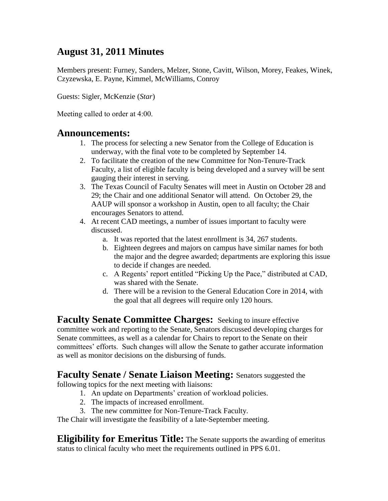## **August 31, 2011 Minutes**

Members present: Furney, Sanders, Melzer, Stone, Cavitt, Wilson, Morey, Feakes, Winek, Czyzewska, E. Payne, Kimmel, McWilliams, Conroy

Guests: Sigler, McKenzie (*Star*)

Meeting called to order at 4:00.

### **Announcements:**

- 1. The process for selecting a new Senator from the College of Education is underway, with the final vote to be completed by September 14.
- 2. To facilitate the creation of the new Committee for Non-Tenure-Track Faculty, a list of eligible faculty is being developed and a survey will be sent gauging their interest in serving.
- 3. The Texas Council of Faculty Senates will meet in Austin on October 28 and 29; the Chair and one additional Senator will attend. On October 29, the AAUP will sponsor a workshop in Austin, open to all faculty; the Chair encourages Senators to attend.
- 4. At recent CAD meetings, a number of issues important to faculty were discussed.
	- a. It was reported that the latest enrollment is 34, 267 students.
	- b. Eighteen degrees and majors on campus have similar names for both the major and the degree awarded; departments are exploring this issue to decide if changes are needed.
	- c. A Regents' report entitled "Picking Up the Pace," distributed at CAD, was shared with the Senate.
	- d. There will be a revision to the General Education Core in 2014, with the goal that all degrees will require only 120 hours.

**Faculty Senate Committee Charges:** Seeking to insure effective committee work and reporting to the Senate, Senators discussed developing charges for Senate committees, as well as a calendar for Chairs to report to the Senate on their committees' efforts. Such changes will allow the Senate to gather accurate information as well as monitor decisions on the disbursing of funds.

### **Faculty Senate / Senate Liaison Meeting:** Senators suggested the

following topics for the next meeting with liaisons:

- 1. An update on Departments' creation of workload policies.
- 2. The impacts of increased enrollment.
- 3. The new committee for Non-Tenure-Track Faculty.

The Chair will investigate the feasibility of a late-September meeting.

**Eligibility for Emeritus Title:** The Senate supports the awarding of emeritus status to clinical faculty who meet the requirements outlined in PPS 6.01.